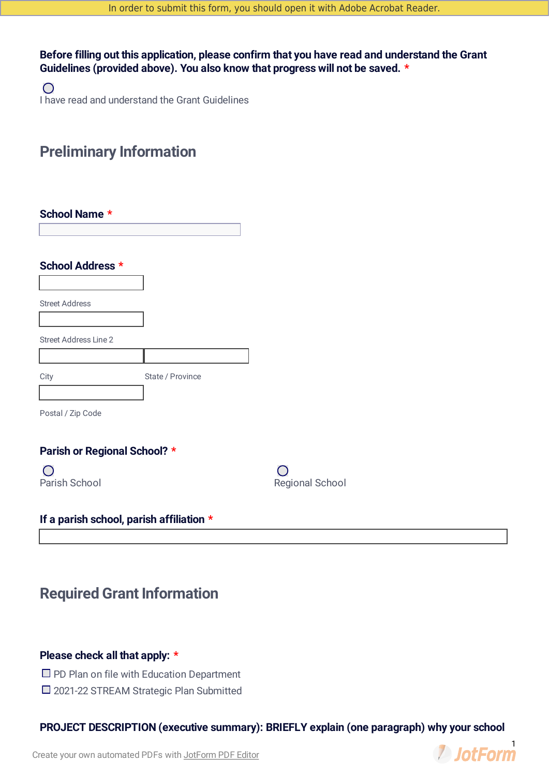**Before filling out this application, please confirm that you have read and understand the Grant Guidelines (provided above). You also know that progress will not be saved. \***

 $\bigcirc$ I have read and understand the Grant Guidelines

# **Preliminary Information**

| School Name *                |                  |
|------------------------------|------------------|
| School Address *             |                  |
| <b>Street Address</b>        |                  |
| <b>Street Address Line 2</b> |                  |
|                              |                  |
| City                         | State / Province |
| Postal / Zip Code            |                  |

# **Parish or Regional School? \***

 $\bigcirc$ Parish School

| $\left(\begin{array}{c} 1 \end{array}\right)$ |  |
|-----------------------------------------------|--|
| <b>Regional School</b>                        |  |

# **If a parish school, parish affiliation \***

# **Required Grant Information**

# **Please check all that apply: \***

- $\Box$  PD Plan on file with Education Department
- □ 2021-22 STREAM Strategic Plan Submitted

**PROJECT DESCRIPTION (executive summary): BRIEFLY explain (one paragraph) why your school**

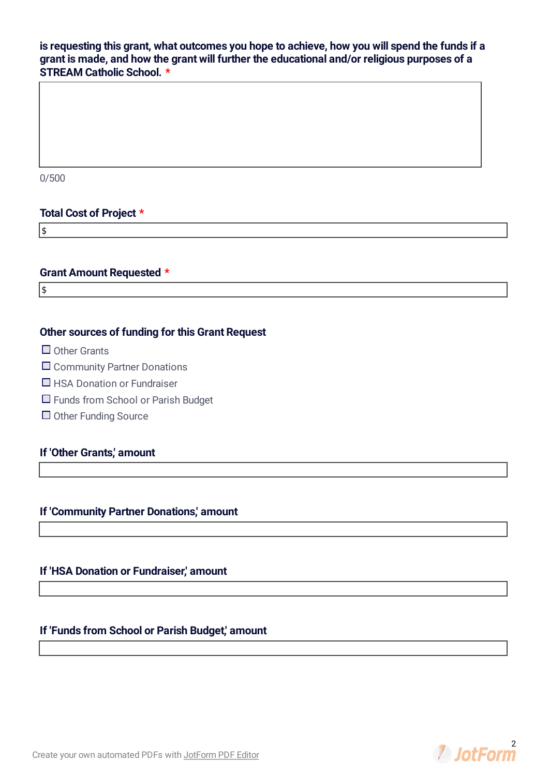# **is requesting this grant, what outcomes you hope to achieve, how you will spend the funds if a grant is made, and how the grant will further the educational and/or religious purposes of a STREAM Catholic School. \***

0/500

### **Total Cost of Project \***

\$

# **Grant Amount Requested \***

 $\sqrt{\frac{1}{2}}$ 

# **Other sources of funding for this Grant Request**

- $\Box$  Other Grants
- □ Community Partner Donations
- $\Box$  HSA Donation or Fundraiser
- □ Funds from School or Parish Budget
- $\Box$  Other Funding Source

# **If 'Other Grants,' amount**

# **If 'Community Partner Donations,' amount**

### **If 'HSA Donation or Fundraiser,' amount**

# **If 'Funds from School or Parish Budget,' amount**

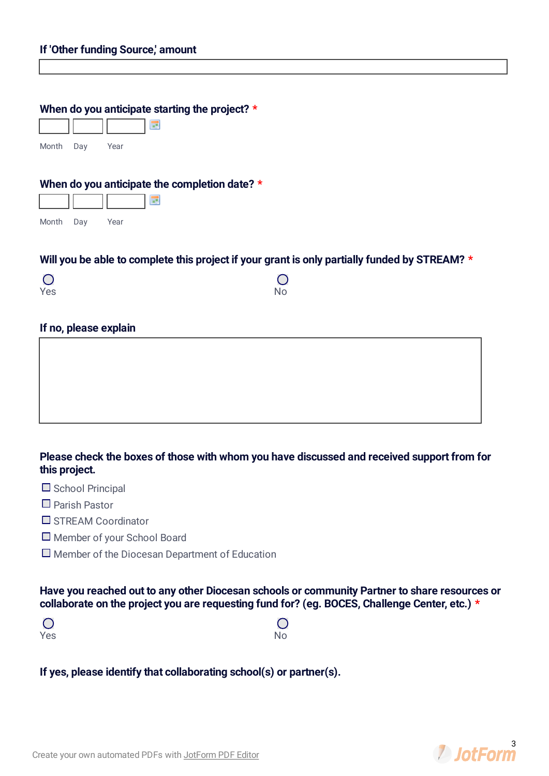### **When do you anticipate starting the project? \***

展

| Month | Day | Year |  |
|-------|-----|------|--|

#### **When do you anticipate the completion date? \***

| Month | Day | Year |  |
|-------|-----|------|--|

### **Will you be able to complete this project if your grant is only partially funded by STREAM? \***

| $\bigcirc$ | $\bigcirc$ |
|------------|------------|
| Yes        | No         |

### **If no, please explain**

# **Please check the boxes of those with whom you have discussed and received support from for this project.**

- $\Box$  School Principal
- Parish Pastor
- STREAM Coordinator
- Member of your School Board
- $\square$  Member of the Diocesan Department of Education

**Have you reached out to any other Diocesan schools or community Partner to share resources or collaborate on the project you are requesting fund for? (eg. BOCES, Challenge Center, etc.) \***

| $\overline{O}$ | $\bigcirc$ |
|----------------|------------|
| Yes            | No         |

**If yes, please identify that collaborating school(s) or partner(s).**

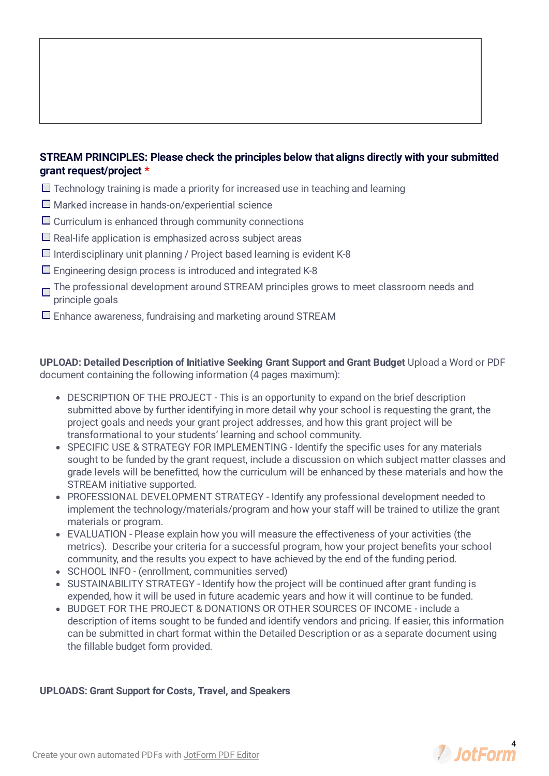# **STREAM PRINCIPLES: Please check the principles below that aligns directly with your submitted grant request/project \***

- $\Box$  Technology training is made a priority for increased use in teaching and learning
- $\Box$  Marked increase in hands-on/experiential science
- $\Box$  Curriculum is enhanced through community connections
- $\Box$  Real-life application is emphasized across subject areas
- $\Box$  Interdisciplinary unit planning / Project based learning is evident K-8
- $\square$  Engineering design process is introduced and integrated K-8
- The professional development around STREAM principles grows to meet classroom needs and principle goals
- $\square$  Enhance awareness, fundraising and marketing around STREAM

**UPLOAD: Detailed Description of Initiative Seeking Grant Support and Grant Budget** Upload a Word or PDF document containing the following information (4 pages maximum):

- DESCRIPTION OF THE PROJECT This is an opportunity to expand on the brief description submitted above by further identifying in more detail why your school is requesting the grant, the project goals and needs your grant project addresses, and how this grant project will be transformational to your students' learning and school community.
- SPECIFIC USE & STRATEGY FOR IMPLEMENTING Identify the specific uses for any materials sought to be funded by the grant request, include a discussion on which subject matter classes and grade levels will be benefitted, how the curriculum will be enhanced by these materials and how the STREAM initiative supported.
- PROFESSIONAL DEVELOPMENT STRATEGY Identify any professional development needed to implement the technology/materials/program and how your staff will be trained to utilize the grant materials or program.
- EVALUATION Please explain how you will measure the effectiveness of your activities (the metrics). Describe your criteria for a successful program, how your project benefits your school community, and the results you expect to have achieved by the end of the funding period.
- SCHOOL INFO (enrollment, communities served)
- SUSTAINABILITY STRATEGY Identify how the project will be continued after grant funding is expended, how it will be used in future academic years and how it will continue to be funded.
- BUDGET FOR THE PROJECT & DONATIONS OR OTHER SOURCES OF INCOME include a description of items sought to be funded and identify vendors and pricing. If easier, this information can be submitted in chart format within the Detailed Description or as a separate document using the fillable budget form provided.

#### **UPLOADS: Grant Support for Costs, Travel, and Speakers**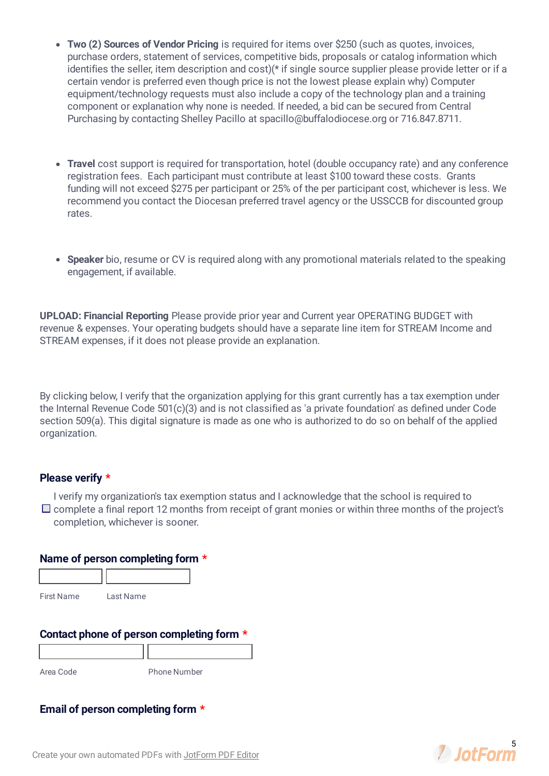- **Two (2) Sources of Vendor Pricing** is required for items over \$250 (such as quotes, invoices, purchase orders, statement of services, competitive bids, proposals or catalog information which identifies the seller, item description and cost)<sup>(\*</sup> if single source supplier please provide letter or if a certain vendor is preferred even though price is not the lowest please explain why) Computer equipment/technology requests must also include a copy of the technology plan and a training component or explanation why none is needed. If needed, a bid can be secured from Central Purchasing by contacting Shelley Pacillo at spacillo@buffalodiocese.org or 716.847.8711.
- **Travel** cost support is required for transportation, hotel (double occupancy rate) and any conference registration fees. Each participant must contribute at least \$100 toward these costs. Grants funding will not exceed \$275 per participant or 25% of the per participant cost, whichever is less. We recommend you contact the Diocesan preferred travel agency or the USSCCB for discounted group rates.
- **Speaker** bio, resume or CV is required along with any promotional materials related to the speaking engagement, if available.

**UPLOAD: Financial Reporting** Please provide prior year and Current year OPERATING BUDGET with revenue & expenses. Your operating budgets should have a separate line item for STREAM Income and STREAM expenses, if it does not please provide an explanation.

By clicking below, I verify that the organization applying for this grant currently has a tax exemption under the Internal Revenue Code 501(c)(3) and is not classified as 'a private foundation' as defined under Code section 509(a). This digital signature is made as one who is authorized to do so on behalf of the applied organization.

#### **Please verify \***

I verify my organization's tax exemption status and I acknowledge that the school is required to  $\Box$  complete a final report 12 months from receipt of grant monies or within three months of the project's completion, whichever is sooner.

#### **Name of person completing form \***

| <b>First Name</b> | Last Name |
|-------------------|-----------|

#### **Contact phone of person completing form \***

Area Code Phone Number

# **Email of person completing form \***

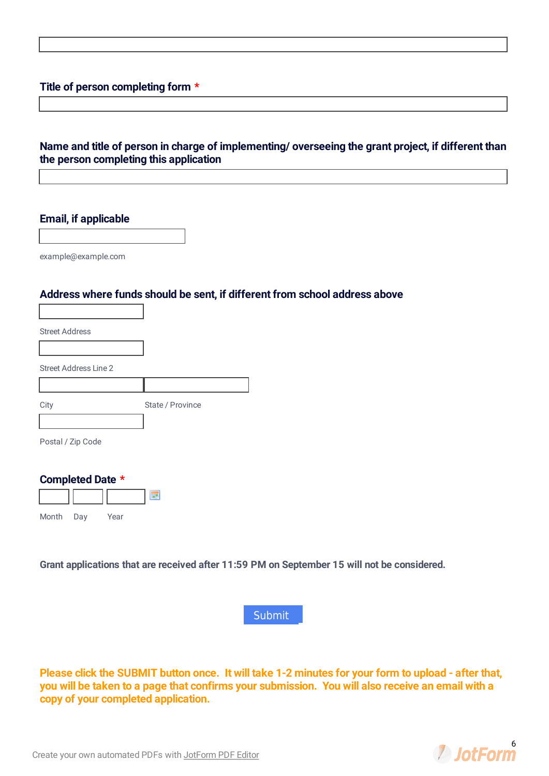# **Title of person completing form \***

## **Name and title of person in charge of implementing/ overseeing the grant project, if different than the person completing this application**

### **Email, if applicable**

example@example.com

Г

#### **Address where funds should be sent, if different from school address above**

| <b>Street Address</b>        |                  |
|------------------------------|------------------|
|                              |                  |
| <b>Street Address Line 2</b> |                  |
|                              |                  |
| City                         | State / Province |
|                              |                  |
| Postal / Zip Code            |                  |

٦

#### **Completed Date \***



**Grant applications that are received after 11:59 PM on September 15 will not be considered.**



Please click the SUBMIT button once. It will take 1-2 minutes for your form to upload - after that, you will be taken to a page that confirms your submission. You will also receive an email with a **copy of your completed application.**